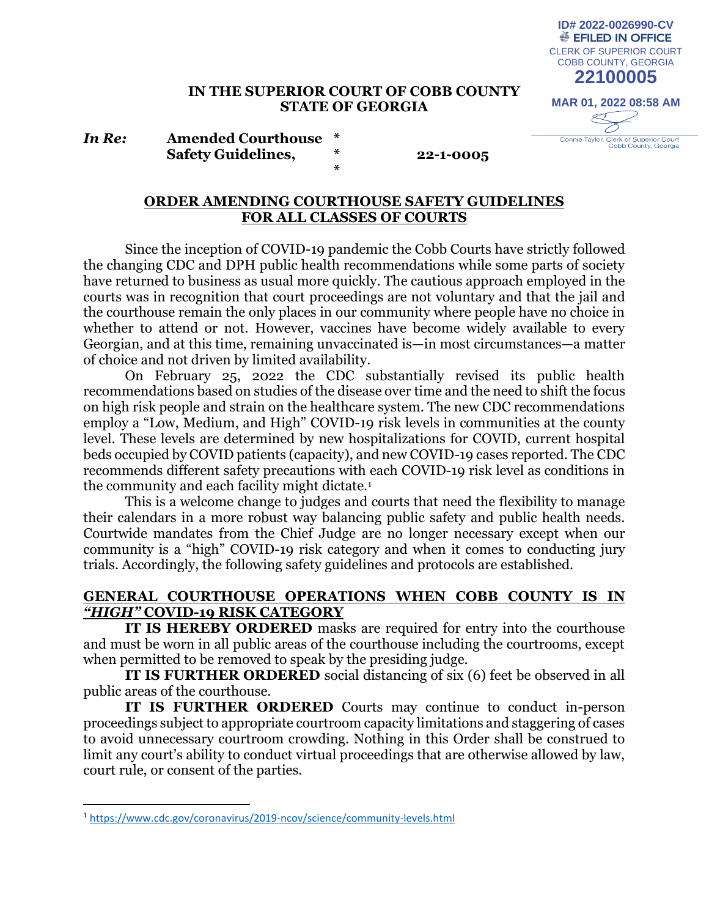#### **IN THE SUPERIOR COURT OF COBB COUNTY STATE OF GEORGIA**

*In Re:* **Amended Courthouse \* Safety Guidelines, \* 22-1-0005**

# **MAR 01, 2022 08:58 AM**  $\leqslant$ Connie Taylor, Clerk of Superior Court<br>Cobb County, Georgia

CLERK OF SUPERIOR COURT COBB COUNTY, GEORGIA **22100005**

**ID# 2022-0026990-CV**<br>● EFILED IN OFFICE

#### **ORDER AMENDING COURTHOUSE SAFETY GUIDELINES FOR ALL CLASSES OF COURTS**

**\***

Since the inception of COVID-19 pandemic the Cobb Courts have strictly followed the changing CDC and DPH public health recommendations while some parts of society have returned to business as usual more quickly. The cautious approach employed in the courts was in recognition that court proceedings are not voluntary and that the jail and the courthouse remain the only places in our community where people have no choice in whether to attend or not. However, vaccines have become widely available to every Georgian, and at this time, remaining unvaccinated is—in most circumstances—a matter of choice and not driven by limited availability.

On February 25, 2022 the CDC substantially revised its public health recommendations based on studies of the disease over time and the need to shift the focus on high risk people and strain on the healthcare system. The new CDC recommendations employ a "Low, Medium, and High" COVID-19 risk levels in communities at the county level. These levels are determined by new hospitalizations for COVID, current hospital beds occupied by COVID patients (capacity), and new COVID-19 cases reported. The CDC recommends different safety precautions with each COVID-19 risk level as conditions in the community and each facility might dictate.<sup>1</sup>

This is a welcome change to judges and courts that need the flexibility to manage their calendars in a more robust way balancing public safety and public health needs. Courtwide mandates from the Chief Judge are no longer necessary except when our community is a "high" COVID-19 risk category and when it comes to conducting jury trials. Accordingly, the following safety guidelines and protocols are established.

#### **GENERAL COURTHOUSE OPERATIONS WHEN COBB COUNTY IS IN**  *"HIGH"* **COVID-19 RISK CATEGORY**

**IT IS HEREBY ORDERED** masks are required for entry into the courthouse and must be worn in all public areas of the courthouse including the courtrooms, except when permitted to be removed to speak by the presiding judge.

**IT IS FURTHER ORDERED** social distancing of six (6) feet be observed in all public areas of the courthouse.

**IT IS FURTHER ORDERED** Courts may continue to conduct in-person proceedings subject to appropriate courtroom capacity limitations and staggering of cases to avoid unnecessary courtroom crowding. Nothing in this Order shall be construed to limit any court's ability to conduct virtual proceedings that are otherwise allowed by law, court rule, or consent of the parties.

<sup>1</sup> https://www.cdc.gov/coronavirus/2019-ncov/science/community-levels.html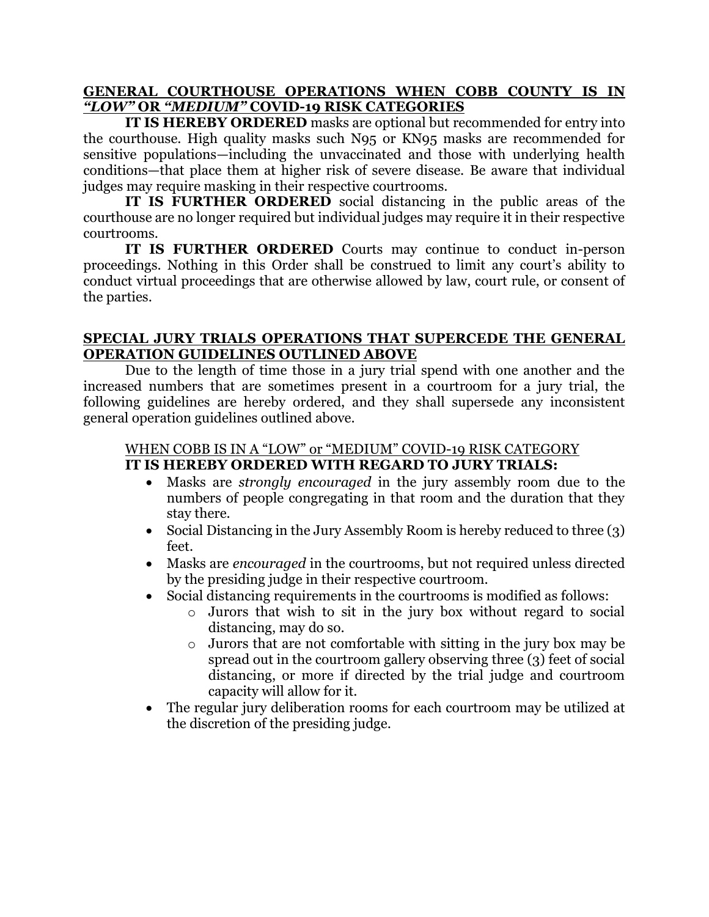#### **GENERAL COURTHOUSE OPERATIONS WHEN COBB COUNTY IS IN**  *"LOW"* **OR** *"MEDIUM"* **COVID-19 RISK CATEGORIES**

**IT IS HEREBY ORDERED** masks are optional but recommended for entry into the courthouse. High quality masks such N95 or KN95 masks are recommended for sensitive populations—including the unvaccinated and those with underlying health conditions—that place them at higher risk of severe disease. Be aware that individual judges may require masking in their respective courtrooms.

**IT IS FURTHER ORDERED** social distancing in the public areas of the courthouse are no longer required but individual judges may require it in their respective courtrooms.

**IT IS FURTHER ORDERED** Courts may continue to conduct in-person proceedings. Nothing in this Order shall be construed to limit any court's ability to conduct virtual proceedings that are otherwise allowed by law, court rule, or consent of the parties.

#### **SPECIAL JURY TRIALS OPERATIONS THAT SUPERCEDE THE GENERAL OPERATION GUIDELINES OUTLINED ABOVE**

Due to the length of time those in a jury trial spend with one another and the increased numbers that are sometimes present in a courtroom for a jury trial, the following guidelines are hereby ordered, and they shall supersede any inconsistent general operation guidelines outlined above.

## WHEN COBB IS IN A "LOW" or "MEDIUM" COVID-19 RISK CATEGORY **IT IS HEREBY ORDERED WITH REGARD TO JURY TRIALS:**

- Masks are *strongly encouraged* in the jury assembly room due to the numbers of people congregating in that room and the duration that they stay there.
- Social Distancing in the Jury Assembly Room is hereby reduced to three (3) feet.
- Masks are *encouraged* in the courtrooms, but not required unless directed by the presiding judge in their respective courtroom.
- Social distancing requirements in the courtrooms is modified as follows:
	- o Jurors that wish to sit in the jury box without regard to social distancing, may do so.
	- o Jurors that are not comfortable with sitting in the jury box may be spread out in the courtroom gallery observing three (3) feet of social distancing, or more if directed by the trial judge and courtroom capacity will allow for it.
- The regular jury deliberation rooms for each courtroom may be utilized at the discretion of the presiding judge.